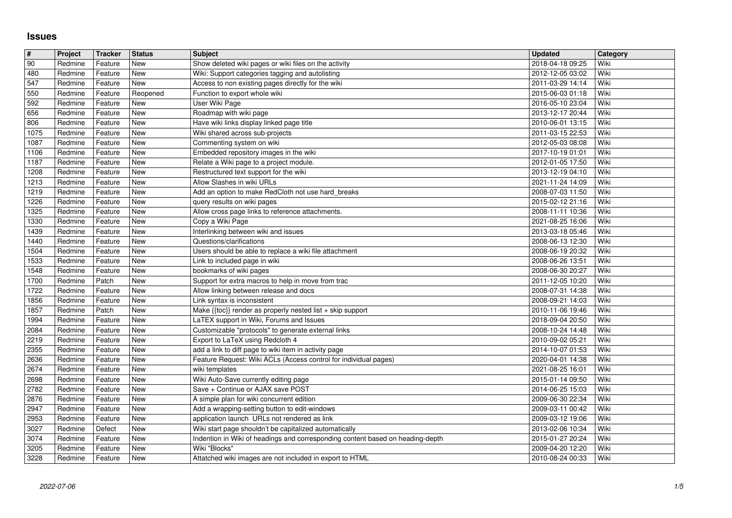## **Issues**

| $\overline{\boldsymbol{H}}$ | Project            | Tracker            | <b>Status</b>     | <b>Subject</b>                                                                                                                           | <b>Updated</b>                       | Category     |
|-----------------------------|--------------------|--------------------|-------------------|------------------------------------------------------------------------------------------------------------------------------------------|--------------------------------------|--------------|
| 90                          | Redmine            | Feature            | New               | Show deleted wiki pages or wiki files on the activity                                                                                    | 2018-04-18 09:25                     | Wiki         |
| 480                         | Redmine            | Feature            | New               | Wiki: Support categories tagging and autolisting                                                                                         | 2012-12-05 03:02                     | Wiki         |
| 547<br>550                  | Redmine<br>Redmine | Feature<br>Feature | New               | Access to non existing pages directly for the wiki<br>Function to export whole wiki                                                      | 2011-03-29 14:14<br>2015-06-03 01:18 | Wiki<br>Wiki |
| 592                         | Redmine            | Feature            | Reopened<br>New   | User Wiki Page                                                                                                                           | 2016-05-10 23:04                     | Wiki         |
| 656                         | Redmine            | Feature            | New               | Roadmap with wiki page                                                                                                                   | 2013-12-17 20:44                     | Wiki         |
| 806                         | Redmine            | Feature            | New               | Have wiki links display linked page title                                                                                                | 2010-06-01 13:15                     | Wiki         |
| 1075                        | Redmine            | Feature            | New               | Wiki shared across sub-projects                                                                                                          | 2011-03-15 22:53                     | Wiki         |
| 1087<br>1106                | Redmine<br>Redmine | Feature<br>Feature | New<br>New        | Commenting system on wiki<br>Embedded repository images in the wiki                                                                      | 2012-05-03 08:08                     | Wiki<br>Wiki |
| 1187                        | Redmine            | Feature            | New               | Relate a Wiki page to a project module.                                                                                                  | 2017-10-19 01:01<br>2012-01-05 17:50 | Wiki         |
| 1208                        | Redmine            | Feature            | New               | Restructured text support for the wiki                                                                                                   | 2013-12-19 04:10                     | Wiki         |
| 1213                        | Redmine            | Feature            | New               | Allow Slashes in wiki URLs                                                                                                               | 2021-11-24 14:09                     | Wiki         |
| 1219                        | Redmine            | Feature            | New               | Add an option to make RedCloth not use hard_breaks                                                                                       | 2008-07-03 11:50                     | Wiki         |
| 1226<br>1325                | Redmine<br>Redmine | Feature<br>Feature | New<br>New        | query results on wiki pages<br>Allow cross page links to reference attachments.                                                          | 2015-02-12 21:16<br>2008-11-11 10:36 | Wiki<br>Wiki |
| 1330                        | Redmine            | Feature            | New               | Copy a Wiki Page                                                                                                                         | 2021-08-25 16:06                     | Wiki         |
| 1439                        | Redmine            | Feature            | New               | Interlinking between wiki and issues                                                                                                     | 2013-03-18 05:46                     | Wiki         |
| 1440                        | Redmine            | Feature            | New               | Questions/clarifications                                                                                                                 | 2008-06-13 12:30                     | Wiki         |
| 1504                        | Redmine            | Feature            | New               | Users should be able to replace a wiki file attachment                                                                                   | 2008-06-19 20:32                     | Wiki         |
| 1533<br>1548                | Redmine<br>Redmine | Feature<br>Feature | New<br>New        | Link to included page in wiki<br>bookmarks of wiki pages                                                                                 | 2008-06-26 13:51<br>2008-06-30 20:27 | Wiki<br>Wiki |
| 1700                        | Redmine            | Patch              | New               | Support for extra macros to help in move from trac                                                                                       | 2011-12-05 10:20                     | Wiki         |
| 1722                        | Redmine            | Feature            | New               | Allow linking between release and docs                                                                                                   | 2008-07-31 14:38                     | Wiki         |
| 1856                        | Redmine            | Feature            | New               | Link syntax is inconsistent                                                                                                              | 2008-09-21 14:03                     | Wiki         |
| 1857<br>1994                | Redmine<br>Redmine | Patch<br>Feature   | New<br>New        | Make {{toc}} render as properly nested list + skip support<br>LaTEX support in Wiki, Forums and Issues                                   | 2010-11-06 19:46<br>2018-09-04 20:50 | Wiki<br>Wiki |
| 2084                        | Redmine            | Feature            | New               | Customizable "protocols" to generate external links                                                                                      | 2008-10-24 14:48                     | Wiki         |
| 2219                        | Redmine            | Feature            | New               | Export to LaTeX using Redcloth 4                                                                                                         | 2010-09-02 05:21                     | Wiki         |
| 2355                        | Redmine            | Feature            | New               | add a link to diff page to wiki item in activity page                                                                                    | 2014-10-07 01:53                     | Wiki         |
| 2636                        | Redmine            | Feature            | New               | Feature Request: Wiki ACLs (Access control for individual pages)                                                                         | 2020-04-01 14:38                     | Wiki         |
| 2674<br>2698                | Redmine<br>Redmine | Feature<br>Feature | New<br>New        | wiki templates<br>Wiki Auto-Save currently editing page                                                                                  | 2021-08-25 16:01<br>2015-01-14 09:50 | Wiki<br>Wiki |
| 2782                        | Redmine            | Feature            | New               | Save + Continue or AJAX save POST                                                                                                        | 2014-06-25 15:03                     | Wiki         |
| 2876                        | Redmine            | Feature            | New               | A simple plan for wiki concurrent edition                                                                                                | 2009-06-30 22:34                     | Wiki         |
| 2947                        | Redmine            | Feature            | New               | Add a wrapping-setting button to edit-windows                                                                                            | 2009-03-11 00:42                     | Wiki         |
| 2953                        | Redmine            | Feature            | New               | application launch URLs not rendered as link                                                                                             | 2009-03-12 19:06                     | Wiki         |
| 3027<br>3074                | Redmine<br>Redmine | Defect<br>Feature  | <b>New</b><br>New | Wiki start page shouldn't be capitalized automatically<br>Indention in Wiki of headings and corresponding content based on heading-depth | 2013-02-06 10:34<br>2015-01-27 20:24 | Wiki<br>Wiki |
| 3205                        | Redmine            | Feature            | <b>New</b>        | Wiki "Blocks"                                                                                                                            | 2009-04-20 12:20                     | Wiki         |
| 3228                        | Redmine            | Feature            | New               | Attatched wiki images are not included in export to HTML                                                                                 | 2010-08-24 00:33                     | Wiki         |
|                             |                    |                    |                   |                                                                                                                                          |                                      |              |
|                             |                    |                    |                   |                                                                                                                                          |                                      |              |
|                             |                    |                    |                   |                                                                                                                                          |                                      |              |
|                             |                    |                    |                   |                                                                                                                                          |                                      |              |
|                             |                    |                    |                   |                                                                                                                                          |                                      |              |
|                             |                    |                    |                   |                                                                                                                                          |                                      |              |
|                             |                    |                    |                   |                                                                                                                                          |                                      |              |
|                             |                    |                    |                   |                                                                                                                                          |                                      |              |
|                             |                    |                    |                   |                                                                                                                                          |                                      |              |
|                             |                    |                    |                   |                                                                                                                                          |                                      |              |
|                             |                    |                    |                   |                                                                                                                                          |                                      |              |
|                             |                    |                    |                   |                                                                                                                                          |                                      |              |
|                             |                    |                    |                   |                                                                                                                                          |                                      |              |
|                             |                    |                    |                   |                                                                                                                                          |                                      |              |
|                             |                    |                    |                   |                                                                                                                                          |                                      |              |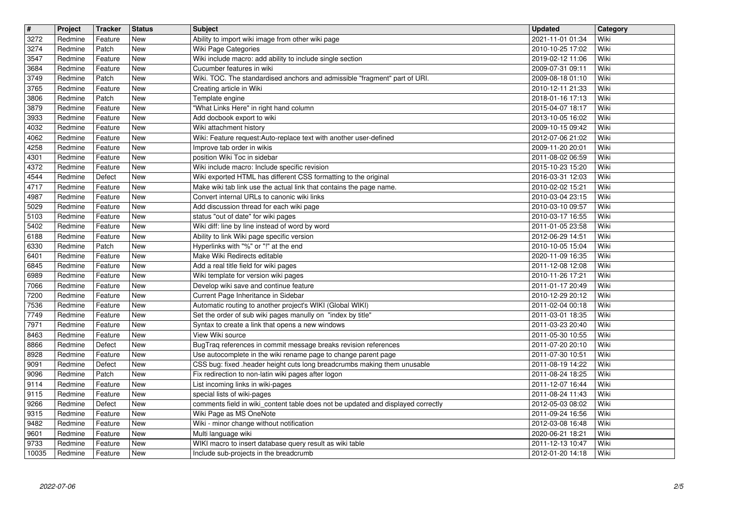| $\overline{\mathbf{r}}$ | Project            | <b>Tracker</b>     | <b>Status</b>            | <b>Subject</b>                                                                                                                  | <b>Updated</b>                       | Category     |
|-------------------------|--------------------|--------------------|--------------------------|---------------------------------------------------------------------------------------------------------------------------------|--------------------------------------|--------------|
| 3272<br>3274            | Redmine<br>Redmine | Feature<br>Patch   | New<br>New               | Ability to import wiki image from other wiki page<br>Wiki Page Categories                                                       | 2021-11-01 01:34<br>2010-10-25 17:02 | Wiki<br>Wiki |
| 3547                    | Redmine            | Feature            | <b>New</b>               | Wiki include macro: add ability to include single section                                                                       | 2019-02-12 11:06                     | Wiki         |
| 3684                    | Redmine            | Feature            | New                      | Cucumber features in wiki                                                                                                       | 2009-07-31 09:11                     | Wiki         |
| 3749<br>3765            | Redmine<br>Redmine | Patch<br>Feature   | New<br><b>New</b>        | Wiki. TOC. The standardised anchors and admissible "fragment" part of URI.<br>Creating article in Wiki                          | 2009-08-18 01:10<br>2010-12-11 21:33 | Wiki<br>Wiki |
| 3806                    | Redmine            | Patch              | <b>New</b>               | Template engine                                                                                                                 | 2018-01-16 17:13                     | Wiki         |
| 3879<br>3933            | Redmine<br>Redmine | Feature<br>Feature | New<br>New               | "What Links Here" in right hand column<br>Add docbook export to wiki                                                            | 2015-04-07 18:17<br>2013-10-05 16:02 | Wiki<br>Wiki |
| 4032                    | Redmine            | Feature            | New                      | Wiki attachment history                                                                                                         | 2009-10-15 09:42                     | Wiki         |
| 4062                    | Redmine            | Feature            | <b>New</b>               | Wiki: Feature request:Auto-replace text with another user-defined                                                               | 2012-07-06 21:02                     | Wiki         |
| 4258<br>4301            | Redmine<br>Redmine | Feature<br>Feature | New<br>New               | Improve tab order in wikis<br>position Wiki Toc in sidebar                                                                      | 2009-11-20 20:01<br>2011-08-02 06:59 | Wiki<br>Wiki |
| 4372                    | Redmine            | Feature            | <b>New</b>               | Wiki include macro: Include specific revision                                                                                   | 2015-10-23 15:20                     | Wiki         |
| 4544                    | Redmine            | Defect             | <b>New</b>               | Wiki exported HTML has different CSS formatting to the original                                                                 | 2016-03-31 12:03                     | Wiki         |
| 4717<br>4987            | Redmine<br>Redmine | Feature<br>Feature | New<br>New               | Make wiki tab link use the actual link that contains the page name.<br>Convert internal URLs to canonic wiki links              | 2010-02-02 15:21<br>2010-03-04 23:15 | Wiki<br>Wiki |
| 5029                    | Redmine            | Feature            | New                      | Add discussion thread for each wiki page                                                                                        | 2010-03-10 09:57                     | Wiki         |
| 5103<br>5402            | Redmine            | Feature            | New                      | status "out of date" for wiki pages<br>Wiki diff: line by line instead of word by word                                          | 2010-03-17 16:55                     | Wiki<br>Wiki |
| 6188                    | Redmine<br>Redmine | Feature<br>Feature | New<br><b>New</b>        | Ability to link Wiki page specific version                                                                                      | 2011-01-05 23:58<br>2012-06-29 14:51 | Wiki         |
| 6330                    | Redmine            | Patch              | <b>New</b>               | Hyperlinks with "%" or "!" at the end                                                                                           | 2010-10-05 15:04                     | Wiki         |
| 6401<br>6845            | Redmine<br>Redmine | Feature<br>Feature | <b>New</b><br>New        | Make Wiki Redirects editable<br>Add a real title field for wiki pages                                                           | 2020-11-09 16:35<br>2011-12-08 12:08 | Wiki<br>Wiki |
| 6989                    | Redmine            | Feature            | New                      | Wiki template for version wiki pages                                                                                            | 2010-11-26 17:21                     | Wiki         |
| 7066                    | Redmine            | Feature            | New                      | Develop wiki save and continue feature                                                                                          | 2011-01-17 20:49                     | Wiki         |
| 7200<br>7536            | Redmine<br>Redmine | Feature<br>Feature | New<br>New               | Current Page Inheritance in Sidebar<br>Automatic routing to another project's WIKI (Global WIKI)                                | 2010-12-29 20:12<br>2011-02-04 00:18 | Wiki<br>Wiki |
| 7749                    | Redmine            | Feature            | New                      | Set the order of sub wiki pages manully on "index by title"                                                                     | 2011-03-01 18:35                     | Wiki         |
| 7971                    | Redmine            | Feature            | <b>New</b>               | Syntax to create a link that opens a new windows                                                                                | 2011-03-23 20:40                     | Wiki         |
| 8463<br>8866            | Redmine<br>Redmine | Feature<br>Defect  | <b>New</b><br><b>New</b> | View Wiki source<br>BugTraq references in commit message breaks revision references                                             | 2011-05-30 10:55<br>2011-07-20 20:10 | Wiki<br>Wiki |
| 8928                    | Redmine            | Feature            | <b>New</b>               | Use autocomplete in the wiki rename page to change parent page                                                                  | 2011-07-30 10:51                     | Wiki         |
| 9091<br>9096            | Redmine<br>Redmine | Defect<br>Patch    | <b>New</b><br>New        | CSS bug: fixed .header height cuts long breadcrumbs making them unusable<br>Fix redirection to non-latin wiki pages after logon | 2011-08-19 14:22<br>2011-08-24 18:25 | Wiki<br>Wiki |
| 9114                    | Redmine            | Feature            | New                      | List incoming links in wiki-pages                                                                                               | 2011-12-07 16:44                     | Wiki         |
| 9115                    | Redmine            | Feature            | New                      | special lists of wiki-pages                                                                                                     | 2011-08-24 11:43                     | Wiki         |
| 9266<br>9315            | Redmine<br>Redmine | Defect<br>Feature  | New<br>New               | comments field in wiki_content table does not be updated and displayed correctly<br>Wiki Page as MS OneNote                     | 2012-05-03 08:02<br>2011-09-24 16:56 | Wiki<br>Wiki |
| 9482                    | Redmine            | Feature            | New                      | Wiki - minor change without notification                                                                                        | 2012-03-08 16:48                     | Wiki         |
| 9601                    | Redmine            | Feature            | New                      | Multi language wiki                                                                                                             | 2020-06-21 18:21                     | Wiki         |
| 9733<br>10035           | Redmine<br>Redmine | Feature<br>Feature | New<br>New               | WIKI macro to insert database query result as wiki table<br>Include sub-projects in the breadcrumb                              | 2011-12-13 10:47<br>2012-01-20 14:18 | Wiki<br>Wiki |
|                         |                    |                    |                          |                                                                                                                                 |                                      |              |
|                         |                    |                    |                          |                                                                                                                                 |                                      |              |
|                         |                    |                    |                          |                                                                                                                                 |                                      |              |
|                         |                    |                    |                          |                                                                                                                                 |                                      |              |
|                         |                    |                    |                          |                                                                                                                                 |                                      |              |
|                         |                    |                    |                          |                                                                                                                                 |                                      |              |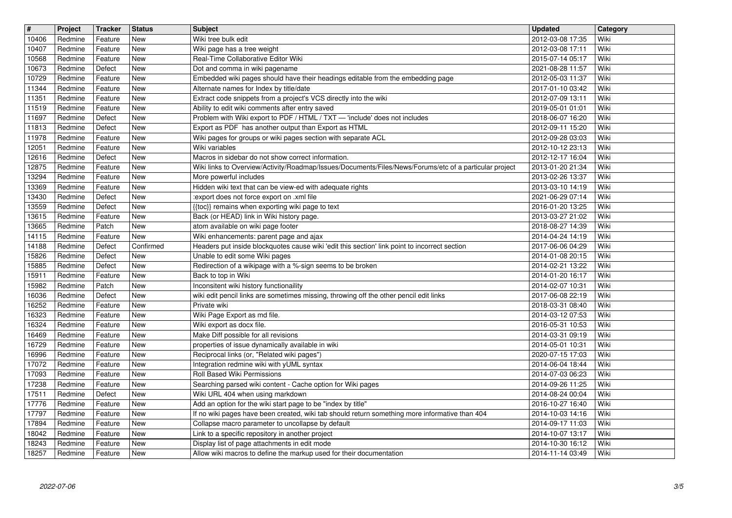| $\sqrt{t}$ | Project | <b>Tracker</b> | <b>Status</b> | <b>Subject</b>                                                                                         | <b>Updated</b>   | Category |
|------------|---------|----------------|---------------|--------------------------------------------------------------------------------------------------------|------------------|----------|
| 10406      | Redmine | Feature        | New           | Wiki tree bulk edit                                                                                    | 2012-03-08 17:35 | Wiki     |
| 10407      | Redmine | Feature        | New           | Wiki page has a tree weight                                                                            | 2012-03-08 17:11 | Wiki     |
| 10568      | Redmine | Feature        | <b>New</b>    | Real-Time Collaborative Editor Wiki                                                                    | 2015-07-14 05:17 | Wiki     |
| 10673      | Redmine | Defect         | New           | Dot and comma in wiki pagename                                                                         | 2021-08-28 11:57 | Wiki     |
| 10729      | Redmine | Feature        | New           | Embedded wiki pages should have their headings editable from the embedding page                        | 2012-05-03 11:37 | Wiki     |
| 11344      | Redmine | Feature        | New           | Alternate names for Index by title/date                                                                | 2017-01-10 03:42 | Wiki     |
| 11351      | Redmine | Feature        | New           | Extract code snippets from a project's VCS directly into the wiki                                      | 2012-07-09 13:11 | Wiki     |
| 11519      | Redmine | Feature        | New           | Ability to edit wiki comments after entry saved                                                        | 2019-05-01 01:01 | Wiki     |
| 11697      | Redmine | Defect         | <b>New</b>    | Problem with Wiki export to PDF / HTML / TXT - 'include' does not includes                             | 2018-06-07 16:20 | Wiki     |
| 11813      | Redmine | Defect         | New           | Export as PDF has another output than Export as HTML                                                   | 2012-09-11 15:20 | Wiki     |
| 11978      | Redmine | Feature        | New           | Wiki pages for groups or wiki pages section with separate ACL                                          | 2012-09-28 03:03 | Wiki     |
| 12051      | Redmine | Feature        | <b>New</b>    | Wiki variables                                                                                         | 2012-10-12 23:13 | Wiki     |
| 12616      | Redmine | Defect         | New           | Macros in sidebar do not show correct information.                                                     | 2012-12-17 16:04 | Wiki     |
| 12875      | Redmine | Feature        | New           | Wiki links to Overview/Activity/Roadmap/Issues/Documents/Files/News/Forums/etc of a particular project | 2013-01-20 21:34 | Wiki     |
| 13294      | Redmine | Feature        | New           | More powerful includes                                                                                 | 2013-02-26 13:37 | Wiki     |
| 13369      | Redmine | Feature        | New           | Hidden wiki text that can be view-ed with adequate rights                                              | 2013-03-10 14:19 | Wiki     |
| 13430      | Redmine | Defect         | New           | :export does not force export on .xml file                                                             | 2021-06-29 07:14 | Wiki     |
| 13559      | Redmine | Defect         | New           | {{toc}} remains when exporting wiki page to text                                                       | 2016-01-20 13:25 | Wiki     |
| 13615      | Redmine | Feature        | <b>New</b>    | Back (or HEAD) link in Wiki history page.                                                              | 2013-03-27 21:02 | Wiki     |
| 13665      | Redmine | Patch          | New           | atom available on wiki page footer                                                                     | 2018-08-27 14:39 | Wiki     |
| 14115      | Redmine | Feature        | New           | Wiki enhancements: parent page and ajax                                                                | 2014-04-24 14:19 | Wiki     |
| 14188      | Redmine | Defect         | Confirmed     | Headers put inside blockquotes cause wiki 'edit this section' link point to incorrect section          | 2017-06-06 04:29 | Wiki     |
| 15826      | Redmine | Defect         | New           | Unable to edit some Wiki pages                                                                         | 2014-01-08 20:15 | Wiki     |
| 15885      | Redmine | Defect         | New           | Redirection of a wikipage with a %-sign seems to be broken                                             | 2014-02-21 13:22 | Wiki     |
| 15911      | Redmine | Feature        | New           | Back to top in Wiki                                                                                    | 2014-01-20 16:17 | Wiki     |
| 15982      | Redmine | Patch          | New           | Inconsitent wiki history functionaility                                                                | 2014-02-07 10:31 | Wiki     |
| 16036      | Redmine | Defect         | New           | wiki edit pencil links are sometimes missing, throwing off the other pencil edit links                 | 2017-06-08 22:19 | Wiki     |
| 16252      | Redmine | Feature        | New           | Private wiki                                                                                           | 2018-03-31 08:40 | Wiki     |
| 16323      | Redmine | Feature        | New           | Wiki Page Export as md file.                                                                           | 2014-03-12 07:53 | Wiki     |
| 16324      | Redmine | Feature        | New           | Wiki export as docx file.                                                                              | 2016-05-31 10:53 | Wiki     |
| 16469      | Redmine | Feature        | New           | Make Diff possible for all revisions                                                                   | 2014-03-31 09:19 | Wiki     |
| 16729      | Redmine | Feature        | New           | properties of issue dynamically available in wiki                                                      | 2014-05-01 10:31 | Wiki     |
| 16996      | Redmine | Feature        | New           | Reciprocal links (or, "Related wiki pages")                                                            | 2020-07-15 17:03 | Wiki     |
| 17072      | Redmine | Feature        | New           | Integration redmine wiki with yUML syntax                                                              | 2014-06-04 18:44 | Wiki     |
| 17093      | Redmine | Feature        | New           | Roll Based Wiki Permissions                                                                            | 2014-07-03 06:23 | Wiki     |
| 17238      | Redmine | Feature        | New           | Searching parsed wiki content - Cache option for Wiki pages                                            | 2014-09-26 11:25 | Wiki     |
| 17511      | Redmine | Defect         | New           | Wiki URL 404 when using markdown                                                                       | 2014-08-24 00:04 | Wiki     |
| 17776      | Redmine | Feature        | New           | Add an option for the wiki start page to be "index by title"                                           | 2016-10-27 16:40 | Wiki     |
| 17797      | Redmine | Feature        | New           | If no wiki pages have been created, wiki tab should return something more informative than 404         | 2014-10-03 14:16 | Wiki     |
| 17894      | Redmine | Feature        | New           | Collapse macro parameter to uncollapse by default                                                      | 2014-09-17 11:03 | Wiki     |
| 18042      | Redmine | Feature        | New           | Link to a specific repository in another project                                                       | 2014-10-07 13:17 | Wiki     |
| 18243      | Redmine | Feature        | New           | Display list of page attachments in edit mode                                                          | 2014-10-30 16:12 | Wiki     |
| 18257      | Redmine | Feature        | New           | Allow wiki macros to define the markup used for their documentation                                    | 2014-11-14 03:49 | Wiki     |
|            |         |                |               |                                                                                                        |                  |          |
|            |         |                |               |                                                                                                        |                  |          |
|            |         |                |               |                                                                                                        |                  |          |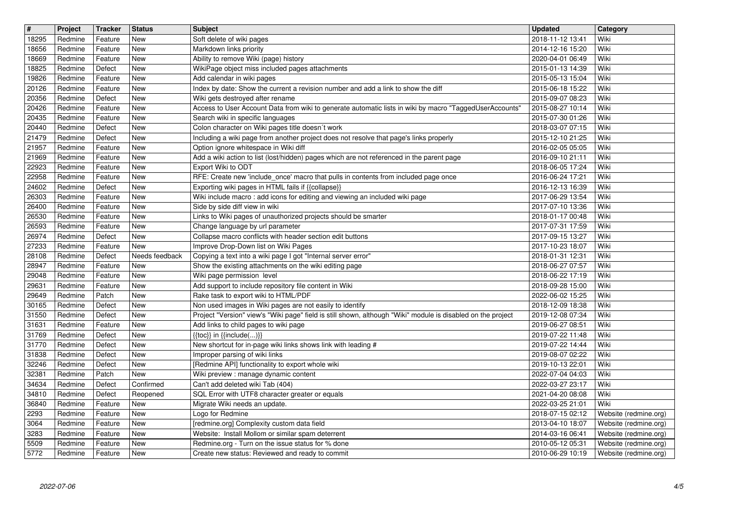| $\overline{\mathbf{t}}$ | Project            | Tracker            | <b>Status</b>            | <b>Subject</b>                                                                                                                                        | <b>Updated</b>                       | Category                                       |
|-------------------------|--------------------|--------------------|--------------------------|-------------------------------------------------------------------------------------------------------------------------------------------------------|--------------------------------------|------------------------------------------------|
| 18295<br>18656          | Redmine<br>Redmine | Feature<br>Feature | New<br>New               | Soft delete of wiki pages<br>Markdown links priority                                                                                                  | 2018-11-12 13:41<br>2014-12-16 15:20 | Wiki<br>Wiki                                   |
| 18669                   | Redmine            | Feature            | New                      | Ability to remove Wiki (page) history                                                                                                                 | 2020-04-01 06:49                     | Wiki                                           |
| 18825<br>19826          | Redmine<br>Redmine | Defect<br>Feature  | New<br><b>New</b>        | WikiPage object miss included pages attachments<br>Add calendar in wiki pages                                                                         | 2015-01-13 14:39<br>2015-05-13 15:04 | Wiki<br>Wiki                                   |
| 20126                   | Redmine            | Feature            | New                      | Index by date: Show the current a revision number and add a link to show the diff                                                                     | 2015-06-18 15:22                     | Wiki                                           |
| 20356                   | Redmine            | Defect             | New                      | Wiki gets destroyed after rename                                                                                                                      | 2015-09-07 08:23                     | Wiki                                           |
| 20426<br>20435          | Redmine<br>Redmine | Feature<br>Feature | New<br>New               | Access to User Account Data from wiki to generate automatic lists in wiki by macro "TaggedUserAccounts"<br>Search wiki in specific languages          | 2015-08-27 10:14<br>2015-07-30 01:26 | Wiki<br>Wiki                                   |
| 20440                   | Redmine            | Defect             | <b>New</b>               | Colon character on Wiki pages title doesn't work                                                                                                      | 2018-03-07 07:15                     | Wiki                                           |
| 21479<br>21957          | Redmine<br>Redmine | Defect<br>Feature  | <b>New</b><br><b>New</b> | Including a wiki page from another project does not resolve that page's links properly<br>Option ignore whitespace in Wiki diff                       | 2015-12-10 21:25<br>2016-02-05 05:05 | Wiki<br>Wiki                                   |
| 21969                   | Redmine            | Feature            | New                      | Add a wiki action to list (lost/hidden) pages which are not referenced in the parent page                                                             | 2016-09-10 21:11                     | Wiki                                           |
| 22923<br>22958          | Redmine<br>Redmine | Feature<br>Feature | <b>New</b><br>New        | Export Wiki to ODT<br>RFE: Create new 'include_once' macro that pulls in contents from included page once                                             | 2018-06-05 17:24                     | Wiki<br>Wiki                                   |
| 24602                   | Redmine            | Defect             | New                      | Exporting wiki pages in HTML fails if {{collapse}}                                                                                                    | 2016-06-24 17:21<br>2016-12-13 16:39 | Wiki                                           |
| 26303                   | Redmine            | Feature            | New                      | Wiki include macro: add icons for editing and viewing an included wiki page                                                                           | 2017-06-29 13:54                     | Wiki                                           |
| 26400<br>26530          | Redmine<br>Redmine | Feature<br>Feature | New<br>New               | Side by side diff view in wiki<br>Links to Wiki pages of unauthorized projects should be smarter                                                      | 2017-07-10 13:36<br>2018-01-17 00:48 | Wiki<br>Wiki                                   |
| 26593                   | Redmine            | Feature            | <b>New</b>               | Change language by url parameter                                                                                                                      | 2017-07-31 17:59                     | Wiki                                           |
| 26974                   | Redmine            | Defect             | New<br><b>New</b>        | Collapse macro conflicts with header section edit buttons<br>Improve Drop-Down list on Wiki Pages                                                     | 2017-09-15 13:27                     | Wiki<br>Wiki                                   |
| 27233<br>28108          | Redmine<br>Redmine | Feature<br>Defect  | Needs feedback           | Copying a text into a wiki page I got "Internal server error"                                                                                         | 2017-10-23 18:07<br>2018-01-31 12:31 | Wiki                                           |
| 28947                   | Redmine            | Feature            | New                      | Show the existing attachments on the wiki editing page                                                                                                | 2018-06-27 07:57                     | Wiki                                           |
| 29048<br>29631          | Redmine<br>Redmine | Feature<br>Feature | New<br>New               | Wiki page permission level<br>Add support to include repository file content in Wiki                                                                  | 2018-06-22 17:19<br>2018-09-28 15:00 | Wiki<br>Wiki                                   |
| 29649                   | Redmine            | Patch              | <b>New</b>               | Rake task to export wiki to HTML/PDF                                                                                                                  | 2022-06-02 15:25                     | Wiki                                           |
| 30165                   | Redmine            | Defect             | New                      | Non used images in Wiki pages are not easily to identify                                                                                              | 2018-12-09 18:38                     | Wiki                                           |
| 31550<br>31631          | Redmine<br>Redmine | Defect<br>Feature  | <b>New</b><br><b>New</b> | Project "Version" view's "Wiki page" field is still shown, although "Wiki" module is disabled on the project<br>Add links to child pages to wiki page | 2019-12-08 07:34<br>2019-06-27 08:51 | Wiki<br>Wiki                                   |
| 31769                   | Redmine            | Defect             | New                      | $\{\{toc\}\}\$ in $\{\{include( \)}\}$                                                                                                                | 2019-07-22 11:48                     | Wiki                                           |
| 31770                   | Redmine            | Defect             | New<br>New               | New shortcut for in-page wiki links shows link with leading #                                                                                         | 2019-07-22 14:44                     | Wiki                                           |
| 31838<br>32246          | Redmine<br>Redmine | Defect<br>Defect   | New                      | Improper parsing of wiki links<br>[Redmine API] functionality to export whole wiki                                                                    | 2019-08-07 02:22<br>2019-10-13 22:01 | Wiki<br>Wiki                                   |
| 32381                   | Redmine            | Patch              | New                      | Wiki preview : manage dynamic content                                                                                                                 | 2022-07-04 04:03                     | Wiki                                           |
| 34634<br>34810          | Redmine<br>Redmine | Defect<br>Defect   | Confirmed<br>Reopened    | Can't add deleted wiki Tab (404)<br>SQL Error with UTF8 character greater or equals                                                                   | 2022-03-27 23:17<br>2021-04-20 08:08 | Wiki<br>Wiki                                   |
| 36840                   | Redmine            | Feature            | New                      | Migrate Wiki needs an update.                                                                                                                         | 2022-03-25 21:01                     | Wiki                                           |
| 2293                    | Redmine            | Feature            | New                      | Logo for Redmine                                                                                                                                      | 2018-07-15 02:12                     | Website (redmine.org)                          |
| 3064<br>3283            | Redmine<br>Redmine | Feature<br>Feature | New<br>New               | [redmine.org] Complexity custom data field<br>Website: Install Mollom or similar spam deterrent                                                       | 2013-04-10 18:07<br>2014-03-16 06:41 | Website (redmine.org)<br>Website (redmine.org) |
| 5509                    | Redmine            | Feature            | New                      | Redmine.org - Turn on the issue status for % done                                                                                                     | 2010-05-12 05:31                     | Website (redmine.org)                          |
| 5772                    | Redmine            | Feature            | New                      | Create new status: Reviewed and ready to commit                                                                                                       | 2010-06-29 10:19                     | Website (redmine.org)                          |
|                         |                    |                    |                          |                                                                                                                                                       |                                      |                                                |
|                         |                    |                    |                          |                                                                                                                                                       |                                      |                                                |
|                         |                    |                    |                          |                                                                                                                                                       |                                      |                                                |
|                         |                    |                    |                          |                                                                                                                                                       |                                      |                                                |
|                         |                    |                    |                          |                                                                                                                                                       |                                      |                                                |
|                         |                    |                    |                          |                                                                                                                                                       |                                      |                                                |
|                         |                    |                    |                          |                                                                                                                                                       |                                      |                                                |
|                         |                    |                    |                          |                                                                                                                                                       |                                      |                                                |
|                         |                    |                    |                          |                                                                                                                                                       |                                      |                                                |
|                         |                    |                    |                          |                                                                                                                                                       |                                      |                                                |
|                         |                    |                    |                          |                                                                                                                                                       |                                      |                                                |
|                         |                    |                    |                          |                                                                                                                                                       |                                      |                                                |